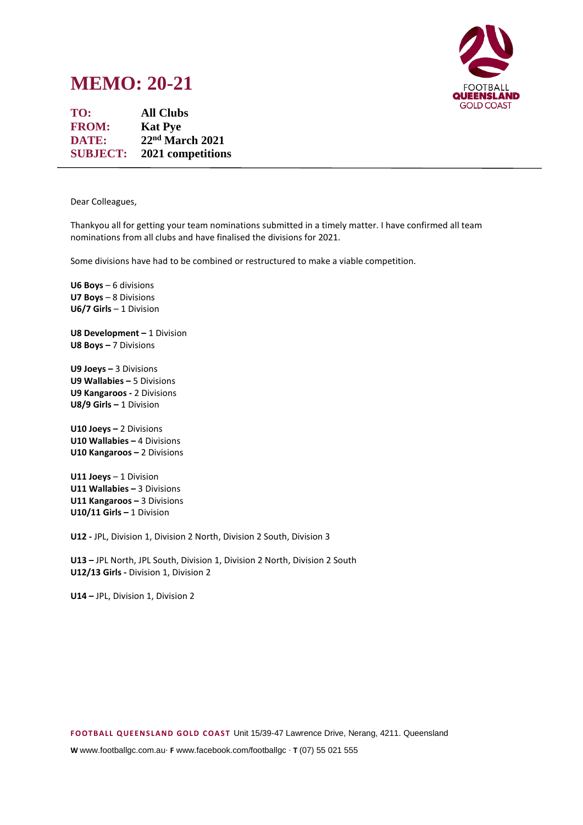

# **MEMO: 20-21**

**TO: All Clubs FROM: Kat Pye DATE: 22nd March 2021 SUBJECT: 2021 competitions**

Dear Colleagues,

Thankyou all for getting your team nominations submitted in a timely matter. I have confirmed all team nominations from all clubs and have finalised the divisions for 2021.

Some divisions have had to be combined or restructured to make a viable competition.

**U6 Boys** – 6 divisions **U7 Boys** – 8 Divisions **U6/7 Girls** – 1 Division

**U8 Development - 1 Division U8 Boys –** 7 Divisions

**U9 Joeys –** 3 Divisions **U9 Wallabies –** 5 Divisions **U9 Kangaroos -** 2 Divisions **U8/9 Girls –** 1 Division

**U10 Joeys –** 2 Divisions **U10 Wallabies –** 4 Divisions **U10 Kangaroos –** 2 Divisions

**U11 Joeys** – 1 Division **U11 Wallabies –** 3 Divisions **U11 Kangaroos –** 3 Divisions **U10/11 Girls –** 1 Division

**U12 -** JPL, Division 1, Division 2 North, Division 2 South, Division 3

**U13 –** JPL North, JPL South, Division 1, Division 2 North, Division 2 South **U12/13 Girls -** Division 1, Division 2

**U14 –** JPL, Division 1, Division 2